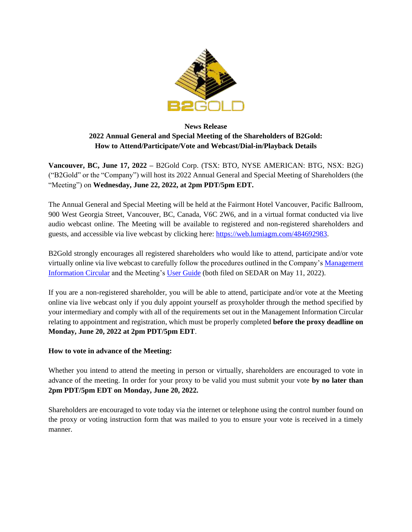

# **News Release 2022 Annual General and Special Meeting of the Shareholders of B2Gold: How to Attend/Participate/Vote and Webcast/Dial-in/Playback Details**

**Vancouver, BC, June 17, 2022 –** B2Gold Corp. (TSX: BTO, NYSE AMERICAN: BTG, NSX: B2G) ("B2Gold" or the "Company") will host its 2022 Annual General and Special Meeting of Shareholders (the "Meeting") on **Wednesday, June 22, 2022, at 2pm PDT/5pm EDT.**

The Annual General and Special Meeting will be held at the Fairmont Hotel Vancouver, Pacific Ballroom, 900 West Georgia Street, Vancouver, BC, Canada, V6C 2W6, and in a virtual format conducted via live audio webcast online. The Meeting will be available to registered and non-registered shareholders and guests, and accessible via live webcast by clicking here: [https://web.lumiagm.com/484692983.](https://web.lumiagm.com/484692983)

B2Gold strongly encourages all registered shareholders who would like to attend, participate and/or vote virtually online via live webcast to carefully follow the procedures outlined in the Company'[s Management](https://www.b2gold.com/_resources/agm/2022-Management-Information-Circular.pdf)  [Information Circular](https://www.b2gold.com/_resources/agm/2022-Management-Information-Circular.pdf) and the Meeting's [User Guide](https://www.b2gold.com/_resources/agm/2022-Virtual-AGM-User-Guide.pdf) (both filed on SEDAR on May 11, 2022).

If you are a non-registered shareholder, you will be able to attend, participate and/or vote at the Meeting online via live webcast only if you duly appoint yourself as proxyholder through the method specified by your intermediary and comply with all of the requirements set out in the Management Information Circular relating to appointment and registration, which must be properly completed **before the proxy deadline on Monday, June 20, 2022 at 2pm PDT/5pm EDT**.

## **How to vote in advance of the Meeting:**

Whether you intend to attend the meeting in person or virtually, shareholders are encouraged to vote in advance of the meeting. In order for your proxy to be valid you must submit your vote **by no later than 2pm PDT/5pm EDT on Monday, June 20, 2022.**

Shareholders are encouraged to vote today via the internet or telephone using the control number found on the proxy or voting instruction form that was mailed to you to ensure your vote is received in a timely manner.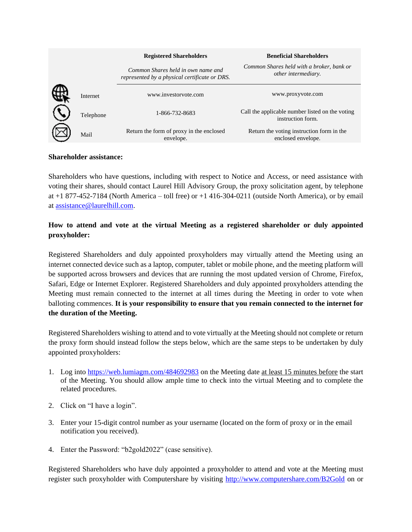|           | <b>Registered Shareholders</b>                                                      | <b>Beneficial Shareholders</b>                                       |
|-----------|-------------------------------------------------------------------------------------|----------------------------------------------------------------------|
|           | Common Shares held in own name and<br>represented by a physical certificate or DRS. | Common Shares held with a broker, bank or<br>other intermediary.     |
| Internet  | www.investoryote.com                                                                | www.proxyvote.com                                                    |
| Telephone | 1-866-732-8683                                                                      | Call the applicable number listed on the voting<br>instruction form. |
| Mail      | Return the form of proxy in the enclosed<br>envelope.                               | Return the voting instruction form in the<br>enclosed envelope.      |

#### **Shareholder assistance:**

Shareholders who have questions, including with respect to Notice and Access, or need assistance with voting their shares, should contact Laurel Hill Advisory Group, the proxy solicitation agent, by telephone at +1 877-452-7184 (North America – toll free) or +1 416-304-0211 (outside North America), or by email at [assistance@laurelhill.com.](mailto:assistance@laurelhill.com)

## **How to attend and vote at the virtual Meeting as a registered shareholder or duly appointed proxyholder:**

Registered Shareholders and duly appointed proxyholders may virtually attend the Meeting using an internet connected device such as a laptop, computer, tablet or mobile phone, and the meeting platform will be supported across browsers and devices that are running the most updated version of Chrome, Firefox, Safari, Edge or Internet Explorer. Registered Shareholders and duly appointed proxyholders attending the Meeting must remain connected to the internet at all times during the Meeting in order to vote when balloting commences. **It is your responsibility to ensure that you remain connected to the internet for the duration of the Meeting.**

Registered Shareholders wishing to attend and to vote virtually at the Meeting should not complete or return the proxy form should instead follow the steps below, which are the same steps to be undertaken by duly appointed proxyholders:

- 1. Log into<https://web.lumiagm.com/484692983> on the Meeting date at least 15 minutes before the start of the Meeting. You should allow ample time to check into the virtual Meeting and to complete the related procedures.
- 2. Click on "I have a login".
- 3. Enter your 15**-**digit control number as your username (located on the form of proxy or in the email notification you received).
- 4. Enter the Password: "b2gold2022" (case sensitive).

Registered Shareholders who have duly appointed a proxyholder to attend and vote at the Meeting must register such proxyholder with Computershare by visiting<http://www.computershare.com/B2Gold> on or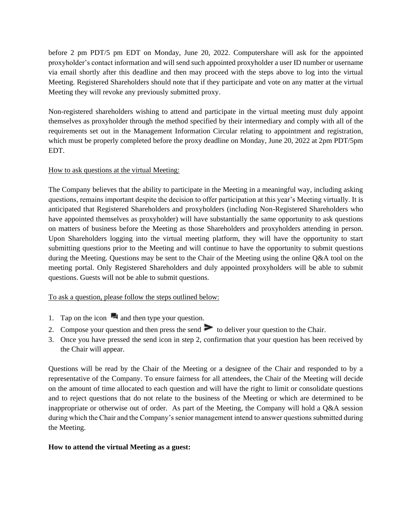before 2 pm PDT/5 pm EDT on Monday, June 20, 2022. Computershare will ask for the appointed proxyholder's contact information and will send such appointed proxyholder a user ID number or username via email shortly after this deadline and then may proceed with the steps above to log into the virtual Meeting. Registered Shareholders should note that if they participate and vote on any matter at the virtual Meeting they will revoke any previously submitted proxy.

Non-registered shareholders wishing to attend and participate in the virtual meeting must duly appoint themselves as proxyholder through the method specified by their intermediary and comply with all of the requirements set out in the Management Information Circular relating to appointment and registration, which must be properly completed before the proxy deadline on Monday, June 20, 2022 at 2pm PDT/5pm EDT.

## How to ask questions at the virtual Meeting:

The Company believes that the ability to participate in the Meeting in a meaningful way, including asking questions, remains important despite the decision to offer participation at this year's Meeting virtually. It is anticipated that Registered Shareholders and proxyholders (including Non-Registered Shareholders who have appointed themselves as proxyholder) will have substantially the same opportunity to ask questions on matters of business before the Meeting as those Shareholders and proxyholders attending in person. Upon Shareholders logging into the virtual meeting platform, they will have the opportunity to start submitting questions prior to the Meeting and will continue to have the opportunity to submit questions during the Meeting. Questions may be sent to the Chair of the Meeting using the online Q&A tool on the meeting portal. Only Registered Shareholders and duly appointed proxyholders will be able to submit questions. Guests will not be able to submit questions.

## To ask a question, please follow the steps outlined below:

- 1. Tap on the icon  $\blacksquare$  and then type your question.
- 2. Compose your question and then press the send  $\geq$  to deliver your question to the Chair.
- 3. Once you have pressed the send icon in step 2, confirmation that your question has been received by the Chair will appear.

Questions will be read by the Chair of the Meeting or a designee of the Chair and responded to by a representative of the Company. To ensure fairness for all attendees, the Chair of the Meeting will decide on the amount of time allocated to each question and will have the right to limit or consolidate questions and to reject questions that do not relate to the business of the Meeting or which are determined to be inappropriate or otherwise out of order. As part of the Meeting, the Company will hold a Q&A session during which the Chair and the Company's senior management intend to answer questions submitted during the Meeting.

#### **How to attend the virtual Meeting as a guest:**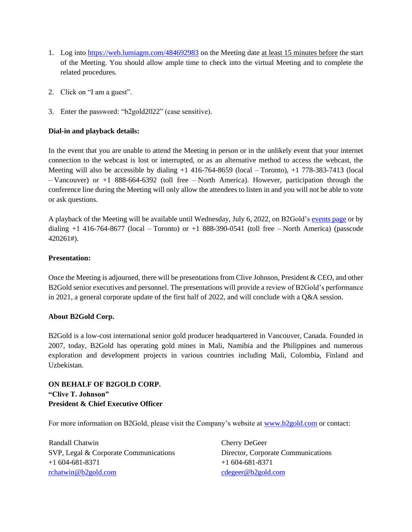- 1. Log into <https://web.lumiagm.com/484692983> on the Meeting date at least 15 minutes before the start of the Meeting. You should allow ample time to check into the virtual Meeting and to complete the related procedures.
- 2. Click on "I am a guest".
- 3. Enter the password: "b2gold2022" (case sensitive).

## **Dial-in and playback details:**

In the event that you are unable to attend the Meeting in person or in the unlikely event that your internet connection to the webcast is lost or interrupted, or as an alternative method to access the webcast, the Meeting will also be accessible by dialing +1 416-764-8659 (local – Toronto), +1 778-383-7413 (local – Vancouver) or +1 888-664-6392 (toll free – North America). However, participation through the conference line during the Meeting will only allow the attendees to listen in and you will not be able to vote or ask questions.

A playback of the Meeting will be available until Wednesday, July 6, 2022, on B2Gold's [events page](https://www.b2gold.com/investors/upcoming_events/) or by dialing  $+1$  416-764-8677 (local – Toronto) or  $+1$  888-390-0541 (toll free – North America) (passcode 420261#).

#### **Presentation:**

Once the Meeting is adjourned, there will be presentations from Clive Johnson, President & CEO, and other B2Gold senior executives and personnel. The presentations will provide a review of B2Gold's performance in 2021, a general corporate update of the first half of 2022, and will conclude with a Q&A session.

## **About B2Gold Corp.**

B2Gold is a low-cost international senior gold producer headquartered in Vancouver, Canada. Founded in 2007, today, B2Gold has operating gold mines in Mali, Namibia and the Philippines and numerous exploration and development projects in various countries including Mali, Colombia, Finland and Uzbekistan.

# **ON BEHALF OF B2GOLD CORP. "Clive T. Johnson" President & Chief Executive Officer**

For more information on B2Gold, please visit the Company's website at [www.b2gold.com](http://www.b2gold.com/) or contact:

Randall Chatwin Cherry DeGeer SVP, Legal & Corporate Communications Director, Corporate Communications +1 604-681-8371 +1 604-681-8371 [rchatwin@b2gold.com](mailto:rchatwin@b2gold.com) [cdegeer@b2gold.com](mailto:cdegeer@b2gold.com)